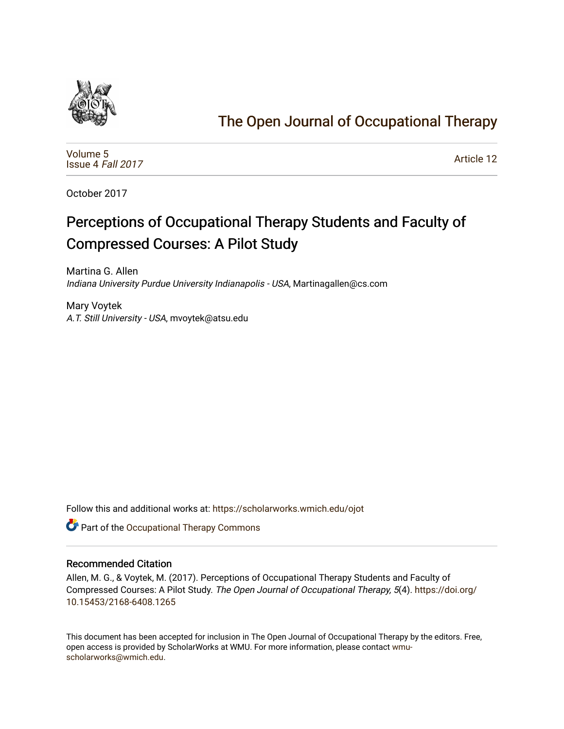

# [The Open Journal of Occupational Therapy](https://scholarworks.wmich.edu/ojot)

[Volume 5](https://scholarworks.wmich.edu/ojot/vol5) [Issue 4](https://scholarworks.wmich.edu/ojot/vol5/iss4) Fall 2017

[Article 12](https://scholarworks.wmich.edu/ojot/vol5/iss4/12) 

October 2017

# Perceptions of Occupational Therapy Students and Faculty of Compressed Courses: A Pilot Study

Martina G. Allen Indiana University Purdue University Indianapolis - USA, Martinagallen@cs.com

Mary Voytek A.T. Still University - USA, mvoytek@atsu.edu

Follow this and additional works at: [https://scholarworks.wmich.edu/ojot](https://scholarworks.wmich.edu/ojot?utm_source=scholarworks.wmich.edu%2Fojot%2Fvol5%2Fiss4%2F12&utm_medium=PDF&utm_campaign=PDFCoverPages)

**C** Part of the Occupational Therapy Commons

#### Recommended Citation

Allen, M. G., & Voytek, M. (2017). Perceptions of Occupational Therapy Students and Faculty of Compressed Courses: A Pilot Study. The Open Journal of Occupational Therapy, 5(4). [https://doi.org/](https://doi.org/10.15453/2168-6408.1265) [10.15453/2168-6408.1265](https://doi.org/10.15453/2168-6408.1265) 

This document has been accepted for inclusion in The Open Journal of Occupational Therapy by the editors. Free, open access is provided by ScholarWorks at WMU. For more information, please contact [wmu](mailto:wmu-scholarworks@wmich.edu)[scholarworks@wmich.edu.](mailto:wmu-scholarworks@wmich.edu)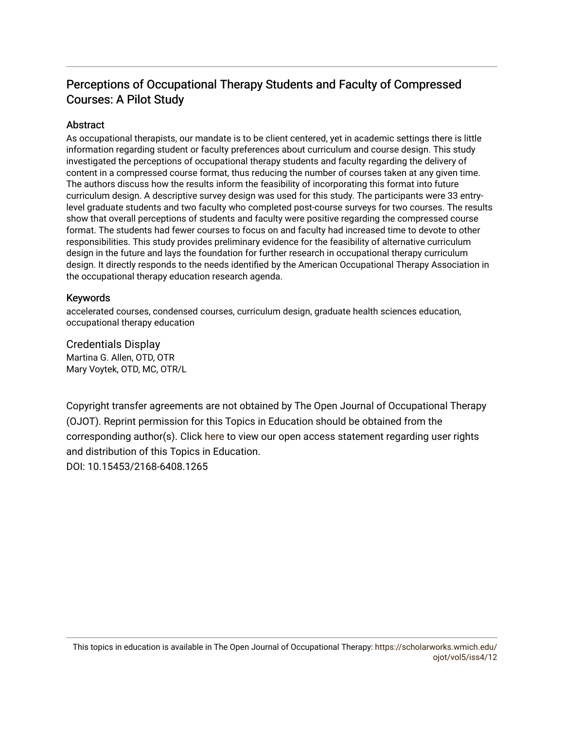# Perceptions of Occupational Therapy Students and Faculty of Compressed Courses: A Pilot Study

## Abstract

As occupational therapists, our mandate is to be client centered, yet in academic settings there is little information regarding student or faculty preferences about curriculum and course design. This study investigated the perceptions of occupational therapy students and faculty regarding the delivery of content in a compressed course format, thus reducing the number of courses taken at any given time. The authors discuss how the results inform the feasibility of incorporating this format into future curriculum design. A descriptive survey design was used for this study. The participants were 33 entrylevel graduate students and two faculty who completed post-course surveys for two courses. The results show that overall perceptions of students and faculty were positive regarding the compressed course format. The students had fewer courses to focus on and faculty had increased time to devote to other responsibilities. This study provides preliminary evidence for the feasibility of alternative curriculum design in the future and lays the foundation for further research in occupational therapy curriculum design. It directly responds to the needs identified by the American Occupational Therapy Association in the occupational therapy education research agenda.

## Keywords

accelerated courses, condensed courses, curriculum design, graduate health sciences education, occupational therapy education

Credentials Display Martina G. Allen, OTD, OTR Mary Voytek, OTD, MC, OTR/L

Copyright transfer agreements are not obtained by The Open Journal of Occupational Therapy (OJOT). Reprint permission for this Topics in Education should be obtained from the corresponding author(s). Click [here](https://scholarworks.wmich.edu/ojot/policies.html#rights) to view our open access statement regarding user rights and distribution of this Topics in Education. DOI: 10.15453/2168-6408.1265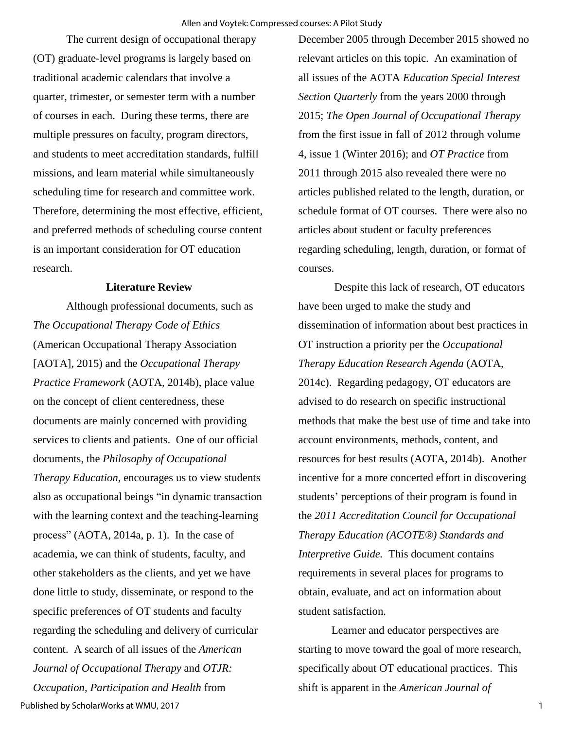The current design of occupational therapy (OT) graduate-level programs is largely based on traditional academic calendars that involve a quarter, trimester, or semester term with a number of courses in each. During these terms, there are multiple pressures on faculty, program directors, and students to meet accreditation standards, fulfill missions, and learn material while simultaneously scheduling time for research and committee work. Therefore, determining the most effective, efficient, and preferred methods of scheduling course content is an important consideration for OT education research.

#### **Literature Review**

 Although professional documents, such as *The Occupational Therapy Code of Ethics*  (American Occupational Therapy Association [AOTA], 2015) and the *Occupational Therapy Practice Framework* (AOTA, 2014b), place value on the concept of client centeredness, these documents are mainly concerned with providing services to clients and patients. One of our official documents, the *Philosophy of Occupational Therapy Education*, encourages us to view students also as occupational beings "in dynamic transaction with the learning context and the teaching-learning process" (AOTA, 2014a, p. 1). In the case of academia, we can think of students, faculty, and other stakeholders as the clients, and yet we have done little to study, disseminate, or respond to the specific preferences of OT students and faculty regarding the scheduling and delivery of curricular content. A search of all issues of the *American Journal of Occupational Therapy* and *OTJR: Occupation, Participation and Health* from

December 2005 through December 2015 showed no relevant articles on this topic. An examination of all issues of the AOTA *Education Special Interest Section Quarterly* from the years 2000 through 2015; *The Open Journal of Occupational Therapy*  from the first issue in fall of 2012 through volume 4, issue 1 (Winter 2016); and *OT Practice* from 2011 through 2015 also revealed there were no articles published related to the length, duration, or schedule format of OT courses. There were also no articles about student or faculty preferences regarding scheduling, length, duration, or format of courses.

 Despite this lack of research, OT educators have been urged to make the study and dissemination of information about best practices in OT instruction a priority per the *Occupational Therapy Education Research Agenda* (AOTA, 2014c). Regarding pedagogy, OT educators are advised to do research on specific instructional methods that make the best use of time and take into account environments, methods, content, and resources for best results (AOTA, 2014b). Another incentive for a more concerted effort in discovering students' perceptions of their program is found in the *2011 Accreditation Council for Occupational Therapy Education (ACOTE®) Standards and Interpretive Guide.* This document contains requirements in several places for programs to obtain, evaluate, and act on information about student satisfaction.

 Learner and educator perspectives are starting to move toward the goal of more research, specifically about OT educational practices. This shift is apparent in the *American Journal of*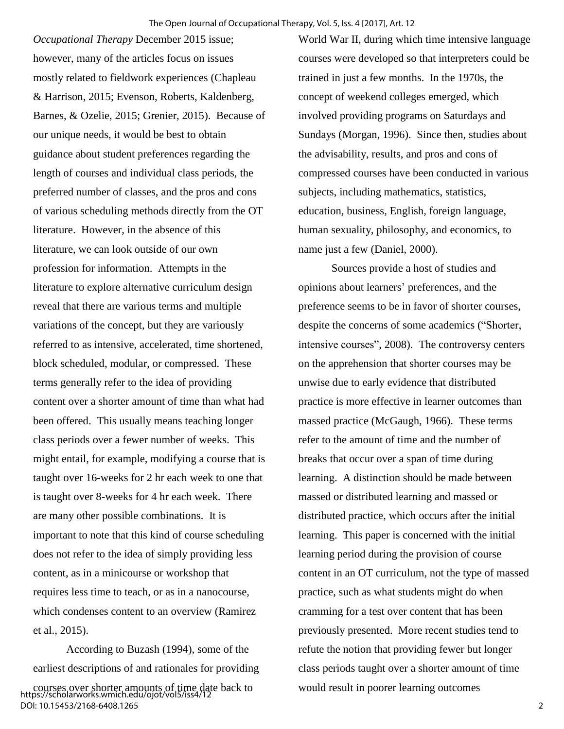*Occupational Therapy* December 2015 issue; however, many of the articles focus on issues mostly related to fieldwork experiences [\(Chapleau](http://ajot.aota.org/article.aspx?articleid=2468763)  [& Harrison, 2015; Evenson, Roberts, Kaldenberg,](http://ajot.aota.org/article.aspx?articleid=2468763)  [Barnes, & Ozelie, 2015; Grenier, 2015\)](http://ajot.aota.org/article.aspx?articleid=2468763). Because of our unique needs, it would be best to obtain guidance about student preferences regarding the length of courses and individual class periods, the preferred number of classes, and the pros and cons of various scheduling methods directly from the OT literature. However, in the absence of this literature, we can look outside of our own profession for information. Attempts in the literature to explore alternative curriculum design reveal that there are various terms and multiple variations of the concept, but they are variously referred to as intensive, accelerated, time shortened, block scheduled, modular, or compressed. These terms generally refer to the idea of providing content over a shorter amount of time than what had been offered. This usually means teaching longer class periods over a fewer number of weeks. This might entail, for example, modifying a course that is taught over 16-weeks for 2 hr each week to one that is taught over 8-weeks for 4 hr each week. There are many other possible combinations. It is important to note that this kind of course scheduling does not refer to the idea of simply providing less content, as in a minicourse or workshop that requires less time to teach, or as in a nanocourse, which condenses content to an overview (Ramirez et al., 2015).

 According to Buzash (1994), some of the earliest descriptions of and rationales for providing courses over shorter amounts of time date back to https://scholarworks.wmich.edu/ojot/vol5/iss4/12 DOI: 10.15453/2168-6408.1265

World War II, during which time intensive language courses were developed so that interpreters could be trained in just a few months. In the 1970s, the concept of weekend colleges emerged, which involved providing programs on Saturdays and Sundays (Morgan, 1996). Since then, studies about the advisability, results, and pros and cons of compressed courses have been conducted in various subjects, including mathematics, statistics, education, business, English, foreign language, human sexuality, philosophy, and economics, to name just a few (Daniel, 2000).

 Sources provide a host of studies and opinions about learners' preferences, and the preference seems to be in favor of shorter courses, despite the concerns of some academics ("Shorter, intensive courses", 2008). The controversy centers on the apprehension that shorter courses may be unwise due to early evidence that distributed practice is more effective in learner outcomes than massed practice (McGaugh, 1966). These terms refer to the amount of time and the number of breaks that occur over a span of time during learning. A distinction should be made between massed or distributed learning and massed or distributed practice, which occurs after the initial learning. This paper is concerned with the initial learning period during the provision of course content in an OT curriculum, not the type of massed practice, such as what students might do when cramming for a test over content that has been previously presented. More recent studies tend to refute the notion that providing fewer but longer class periods taught over a shorter amount of time would result in poorer learning outcomes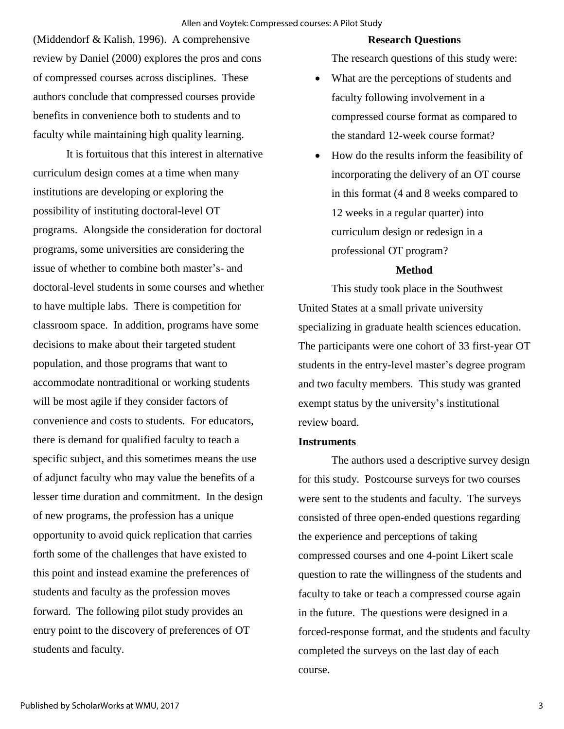(Middendorf & Kalish, 1996). A comprehensive review by Daniel (2000) explores the pros and cons of compressed courses across disciplines. These authors conclude that compressed courses provide benefits in convenience both to students and to faculty while maintaining high quality learning.

It is fortuitous that this interest in alternative curriculum design comes at a time when many institutions are developing or exploring the possibility of instituting doctoral-level OT programs. Alongside the consideration for doctoral programs, some universities are considering the issue of whether to combine both master's- and doctoral-level students in some courses and whether to have multiple labs. There is competition for classroom space. In addition, programs have some decisions to make about their targeted student population, and those programs that want to accommodate nontraditional or working students will be most agile if they consider factors of convenience and costs to students. For educators, there is demand for qualified faculty to teach a specific subject, and this sometimes means the use of adjunct faculty who may value the benefits of a lesser time duration and commitment. In the design of new programs, the profession has a unique opportunity to avoid quick replication that carries forth some of the challenges that have existed to this point and instead examine the preferences of students and faculty as the profession moves forward. The following pilot study provides an entry point to the discovery of preferences of OT students and faculty.

#### **Research Questions**

The research questions of this study were:

- What are the perceptions of students and faculty following involvement in a compressed course format as compared to the standard 12-week course format?
- How do the results inform the feasibility of incorporating the delivery of an OT course in this format (4 and 8 weeks compared to 12 weeks in a regular quarter) into curriculum design or redesign in a professional OT program?

### **Method**

This study took place in the Southwest United States at a small private university specializing in graduate health sciences education. The participants were one cohort of 33 first-year OT students in the entry-level master's degree program and two faculty members. This study was granted exempt status by the university's institutional review board.

#### **Instruments**

 The authors used a descriptive survey design for this study. Postcourse surveys for two courses were sent to the students and faculty. The surveys consisted of three open-ended questions regarding the experience and perceptions of taking compressed courses and one 4-point Likert scale question to rate the willingness of the students and faculty to take or teach a compressed course again in the future. The questions were designed in a forced-response format, and the students and faculty completed the surveys on the last day of each course.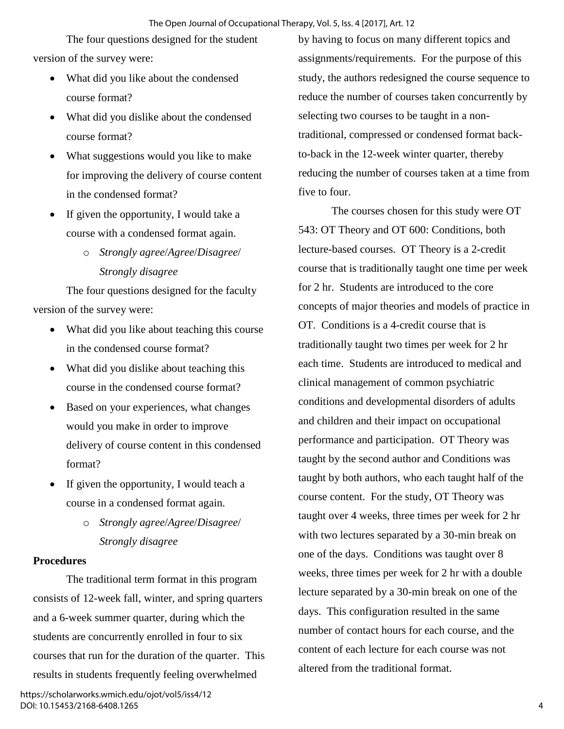#### The Open Journal of Occupational Therapy, Vol. 5, Iss. 4 [2017], Art. 12

The four questions designed for the student version of the survey were:

- What did you like about the condensed course format?
- What did you dislike about the condensed course format?
- What suggestions would you like to make for improving the delivery of course content in the condensed format?
- If given the opportunity, I would take a course with a condensed format again.
	- o *Strongly agree*/*Agree*/*Disagree*/ *Strongly disagree*

The four questions designed for the faculty version of the survey were:

- What did you like about teaching this course in the condensed course format?
- What did you dislike about teaching this course in the condensed course format?
- Based on your experiences, what changes would you make in order to improve delivery of course content in this condensed format?
- If given the opportunity, I would teach a course in a condensed format again.
	- o *Strongly agree*/*Agree*/*Disagree*/ *Strongly disagree*

#### **Procedures**

The traditional term format in this program consists of 12-week fall, winter, and spring quarters and a 6-week summer quarter, during which the students are concurrently enrolled in four to six courses that run for the duration of the quarter. This results in students frequently feeling overwhelmed

by having to focus on many different topics and assignments/requirements. For the purpose of this study, the authors redesigned the course sequence to reduce the number of courses taken concurrently by selecting two courses to be taught in a nontraditional, compressed or condensed format backto-back in the 12-week winter quarter, thereby reducing the number of courses taken at a time from five to four.

 The courses chosen for this study were OT 543: OT Theory and OT 600: Conditions, both lecture-based courses. OT Theory is a 2-credit course that is traditionally taught one time per week for 2 hr. Students are introduced to the core concepts of major theories and models of practice in OT. Conditions is a 4-credit course that is traditionally taught two times per week for 2 hr each time. Students are introduced to medical and clinical management of common psychiatric conditions and developmental disorders of adults and children and their impact on occupational performance and participation. OT Theory was taught by the second author and Conditions was taught by both authors, who each taught half of the course content. For the study, OT Theory was taught over 4 weeks, three times per week for 2 hr with two lectures separated by a 30-min break on one of the days. Conditions was taught over 8 weeks, three times per week for 2 hr with a double lecture separated by a 30-min break on one of the days. This configuration resulted in the same number of contact hours for each course, and the content of each lecture for each course was not altered from the traditional format.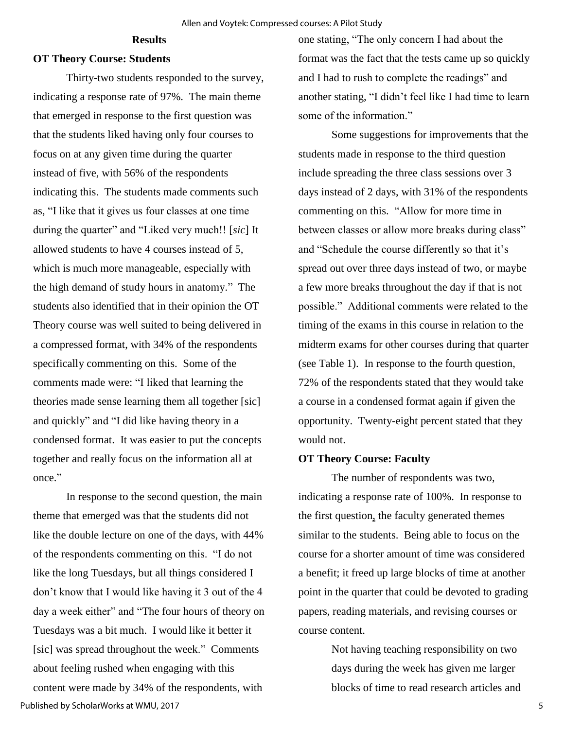#### **Results**

#### **OT Theory Course: Students**

Thirty-two students responded to the survey, indicating a response rate of 97%. The main theme that emerged in response to the first question was that the students liked having only four courses to focus on at any given time during the quarter instead of five, with 56% of the respondents indicating this. The students made comments such as, "I like that it gives us four classes at one time during the quarter" and "Liked very much!! [*sic*] It allowed students to have 4 courses instead of 5, which is much more manageable, especially with the high demand of study hours in anatomy." The students also identified that in their opinion the OT Theory course was well suited to being delivered in a compressed format, with 34% of the respondents specifically commenting on this. Some of the comments made were: "I liked that learning the theories made sense learning them all together [sic] and quickly" and "I did like having theory in a condensed format. It was easier to put the concepts together and really focus on the information all at once."

 In response to the second question, the main theme that emerged was that the students did not like the double lecture on one of the days, with 44% of the respondents commenting on this. "I do not like the long Tuesdays, but all things considered I don't know that I would like having it 3 out of the 4 day a week either" and "The four hours of theory on Tuesdays was a bit much. I would like it better it [sic] was spread throughout the week." Comments about feeling rushed when engaging with this content were made by 34% of the respondents, with Published by ScholarWorks at WMU, 2017

one stating, "The only concern I had about the format was the fact that the tests came up so quickly and I had to rush to complete the readings" and another stating, "I didn't feel like I had time to learn some of the information."

Some suggestions for improvements that the students made in response to the third question include spreading the three class sessions over 3 days instead of 2 days, with 31% of the respondents commenting on this. "Allow for more time in between classes or allow more breaks during class" and "Schedule the course differently so that it's spread out over three days instead of two, or maybe a few more breaks throughout the day if that is not possible." Additional comments were related to the timing of the exams in this course in relation to the midterm exams for other courses during that quarter (see Table 1). In response to the fourth question, 72% of the respondents stated that they would take a course in a condensed format again if given the opportunity. Twenty-eight percent stated that they would not.

#### **OT Theory Course: Faculty**

 The number of respondents was two, indicating a response rate of 100%. In response to the first question, the faculty generated themes similar to the students. Being able to focus on the course for a shorter amount of time was considered a benefit; it freed up large blocks of time at another point in the quarter that could be devoted to grading papers, reading materials, and revising courses or course content.

> Not having teaching responsibility on two days during the week has given me larger blocks of time to read research articles and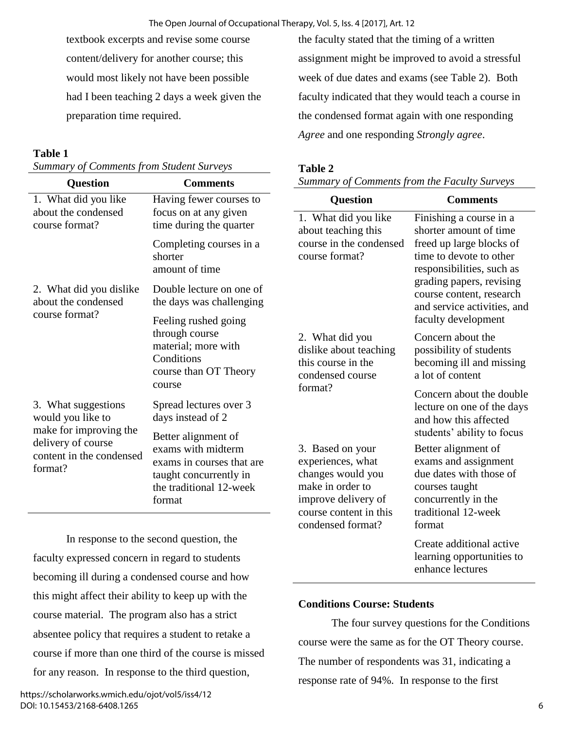textbook excerpts and revise some course content/delivery for another course; this would most likely not have been possible had I been teaching 2 days a week given the preparation time required.

## **Table 1**

*Summary of Comments from Student Surveys*

| <b>Question</b>                                                                                                                 | <b>Comments</b>                                                                                                                       |
|---------------------------------------------------------------------------------------------------------------------------------|---------------------------------------------------------------------------------------------------------------------------------------|
| 1. What did you like<br>about the condensed<br>course format?                                                                   | Having fewer courses to<br>focus on at any given<br>time during the quarter                                                           |
|                                                                                                                                 | Completing courses in a<br>shorter<br>amount of time                                                                                  |
| 2. What did you dislike<br>about the condensed                                                                                  | Double lecture on one of<br>the days was challenging                                                                                  |
| course format?                                                                                                                  | Feeling rushed going<br>through course<br>material; more with<br>Conditions<br>course than OT Theory<br>course                        |
| 3. What suggestions<br>would you like to<br>make for improving the<br>delivery of course<br>content in the condensed<br>format? | Spread lectures over 3<br>days instead of 2                                                                                           |
|                                                                                                                                 | Better alignment of<br>exams with midterm<br>exams in courses that are<br>taught concurrently in<br>the traditional 12-week<br>format |

In response to the second question, the faculty expressed concern in regard to students becoming ill during a condensed course and how this might affect their ability to keep up with the course material. The program also has a strict absentee policy that requires a student to retake a course if more than one third of the course is missed for any reason. In response to the third question,

the faculty stated that the timing of a written assignment might be improved to avoid a stressful week of due dates and exams (see Table 2). Both faculty indicated that they would teach a course in the condensed format again with one responding *Agree* and one responding *Strongly agree*.

# **Table 2**

*Summary of Comments from the Faculty Surveys*

| Question                                                                                                                                             | <b>Comments</b>                                                                                                                                                                                                                                     |
|------------------------------------------------------------------------------------------------------------------------------------------------------|-----------------------------------------------------------------------------------------------------------------------------------------------------------------------------------------------------------------------------------------------------|
| 1. What did you like<br>about teaching this<br>course in the condensed<br>course format?                                                             | Finishing a course in a<br>shorter amount of time<br>freed up large blocks of<br>time to devote to other<br>responsibilities, such as<br>grading papers, revising<br>course content, research<br>and service activities, and<br>faculty development |
| 2. What did you<br>dislike about teaching<br>this course in the<br>condensed course<br>format?                                                       | Concern about the<br>possibility of students<br>becoming ill and missing<br>a lot of content<br>Concern about the double<br>lecture on one of the days<br>and how this affected<br>students' ability to focus                                       |
| 3. Based on your<br>experiences, what<br>changes would you<br>make in order to<br>improve delivery of<br>course content in this<br>condensed format? | Better alignment of<br>exams and assignment<br>due dates with those of<br>courses taught<br>concurrently in the<br>traditional 12-week<br>format                                                                                                    |
|                                                                                                                                                      | Create additional active<br>learning opportunities to<br>enhance lectures                                                                                                                                                                           |

# **Conditions Course: Students**

 The four survey questions for the Conditions course were the same as for the OT Theory course. The number of respondents was 31, indicating a response rate of 94%. In response to the first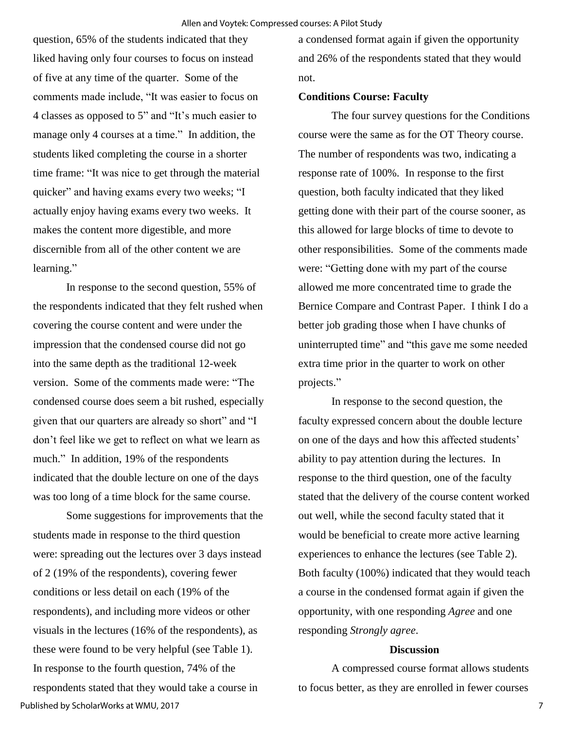question, 65% of the students indicated that they liked having only four courses to focus on instead of five at any time of the quarter. Some of the comments made include, "It was easier to focus on 4 classes as opposed to 5" and "It's much easier to manage only 4 courses at a time." In addition, the students liked completing the course in a shorter time frame: "It was nice to get through the material quicker" and having exams every two weeks; "I actually enjoy having exams every two weeks. It makes the content more digestible, and more discernible from all of the other content we are learning."

 In response to the second question, 55% of the respondents indicated that they felt rushed when covering the course content and were under the impression that the condensed course did not go into the same depth as the traditional 12-week version. Some of the comments made were: "The condensed course does seem a bit rushed, especially given that our quarters are already so short" and "I don't feel like we get to reflect on what we learn as much." In addition, 19% of the respondents indicated that the double lecture on one of the days was too long of a time block for the same course.

 Some suggestions for improvements that the students made in response to the third question were: spreading out the lectures over 3 days instead of 2 (19% of the respondents), covering fewer conditions or less detail on each (19% of the respondents), and including more videos or other visuals in the lectures (16% of the respondents), as these were found to be very helpful (see Table 1). In response to the fourth question, 74% of the respondents stated that they would take a course in Published by ScholarWorks at WMU, 2017

a condensed format again if given the opportunity and 26% of the respondents stated that they would not.

#### **Conditions Course: Faculty**

 The four survey questions for the Conditions course were the same as for the OT Theory course. The number of respondents was two, indicating a response rate of 100%. In response to the first question, both faculty indicated that they liked getting done with their part of the course sooner, as this allowed for large blocks of time to devote to other responsibilities. Some of the comments made were: "Getting done with my part of the course allowed me more concentrated time to grade the Bernice Compare and Contrast Paper. I think I do a better job grading those when I have chunks of uninterrupted time" and "this gave me some needed extra time prior in the quarter to work on other projects."

 In response to the second question, the faculty expressed concern about the double lecture on one of the days and how this affected students' ability to pay attention during the lectures. In response to the third question, one of the faculty stated that the delivery of the course content worked out well, while the second faculty stated that it would be beneficial to create more active learning experiences to enhance the lectures (see Table 2). Both faculty (100%) indicated that they would teach a course in the condensed format again if given the opportunity, with one responding *Agree* and one responding *Strongly agree*.

#### **Discussion**

A compressed course format allows students to focus better, as they are enrolled in fewer courses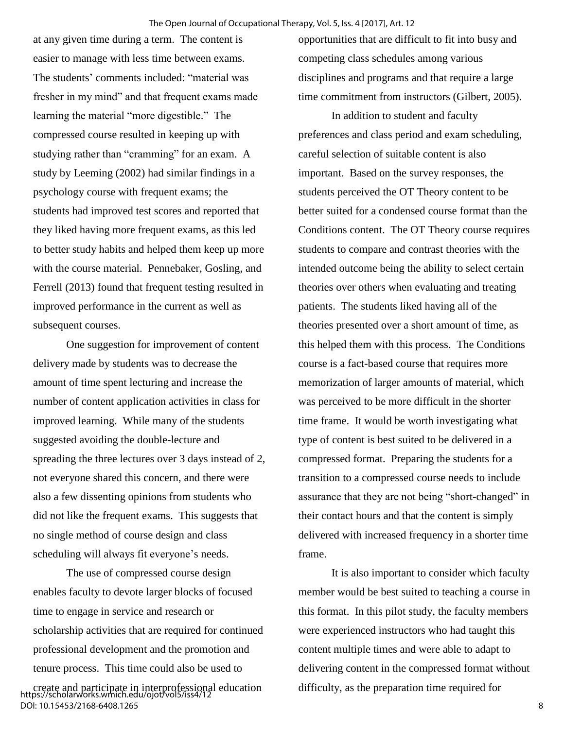at any given time during a term. The content is easier to manage with less time between exams. The students' comments included: "material was fresher in my mind" and that frequent exams made learning the material "more digestible." The compressed course resulted in keeping up with studying rather than "cramming" for an exam. A study by Leeming (2002) had similar findings in a psychology course with frequent exams; the students had improved test scores and reported that they liked having more frequent exams, as this led to better study habits and helped them keep up more with the course material. Pennebaker, Gosling, and Ferrell (2013) found that frequent testing resulted in improved performance in the current as well as subsequent courses.

One suggestion for improvement of content delivery made by students was to decrease the amount of time spent lecturing and increase the number of content application activities in class for improved learning. While many of the students suggested avoiding the double-lecture and spreading the three lectures over 3 days instead of 2, not everyone shared this concern, and there were also a few dissenting opinions from students who did not like the frequent exams. This suggests that no single method of course design and class scheduling will always fit everyone's needs.

The use of compressed course design enables faculty to devote larger blocks of focused time to engage in service and research or scholarship activities that are required for continued professional development and the promotion and tenure process. This time could also be used to

opportunities that are difficult to fit into busy and competing class schedules among various disciplines and programs and that require a large time commitment from instructors (Gilbert, 2005).

In addition to student and faculty preferences and class period and exam scheduling, careful selection of suitable content is also important. Based on the survey responses, the students perceived the OT Theory content to be better suited for a condensed course format than the Conditions content. The OT Theory course requires students to compare and contrast theories with the intended outcome being the ability to select certain theories over others when evaluating and treating patients. The students liked having all of the theories presented over a short amount of time, as this helped them with this process. The Conditions course is a fact-based course that requires more memorization of larger amounts of material, which was perceived to be more difficult in the shorter time frame. It would be worth investigating what type of content is best suited to be delivered in a compressed format. Preparing the students for a transition to a compressed course needs to include assurance that they are not being "short-changed" in their contact hours and that the content is simply delivered with increased frequency in a shorter time frame.

It is also important to consider which faculty member would be best suited to teaching a course in this format. In this pilot study, the faculty members were experienced instructors who had taught this content multiple times and were able to adapt to delivering content in the compressed format without difficulty, as the preparation time required for

create and participate in interprofessional education https://scholarworks.wmich.edu/ojot/vol5/iss4/12 DOI: 10.15453/2168-6408.1265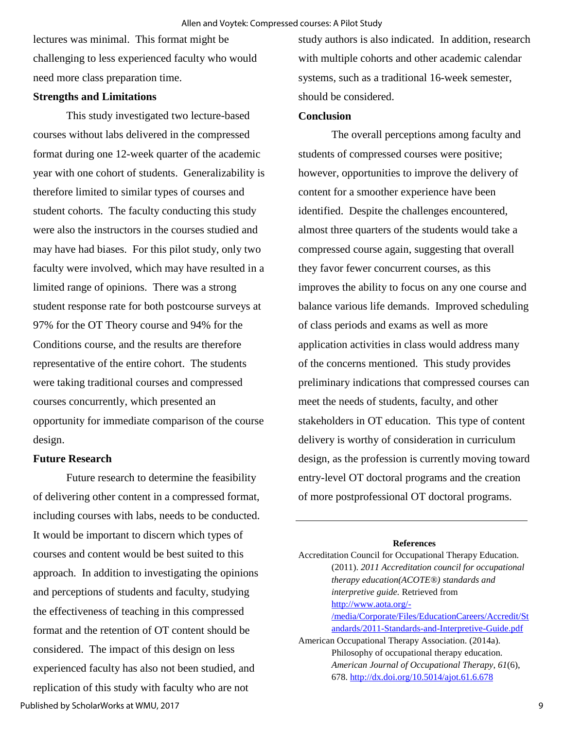lectures was minimal. This format might be challenging to less experienced faculty who would need more class preparation time.

## **Strengths and Limitations**

 This study investigated two lecture-based courses without labs delivered in the compressed format during one 12-week quarter of the academic year with one cohort of students. Generalizability is therefore limited to similar types of courses and student cohorts. The faculty conducting this study were also the instructors in the courses studied and may have had biases. For this pilot study, only two faculty were involved, which may have resulted in a limited range of opinions. There was a strong student response rate for both postcourse surveys at 97% for the OT Theory course and 94% for the Conditions course, and the results are therefore representative of the entire cohort. The students were taking traditional courses and compressed courses concurrently, which presented an opportunity for immediate comparison of the course design.

#### **Future Research**

Future research to determine the feasibility of delivering other content in a compressed format, including courses with labs, needs to be conducted. It would be important to discern which types of courses and content would be best suited to this approach. In addition to investigating the opinions and perceptions of students and faculty, studying the effectiveness of teaching in this compressed format and the retention of OT content should be considered. The impact of this design on less experienced faculty has also not been studied, and replication of this study with faculty who are not Published by ScholarWorks at WMU, 2017

study authors is also indicated. In addition, research with multiple cohorts and other academic calendar systems, such as a traditional 16-week semester, should be considered.

#### **Conclusion**

The overall perceptions among faculty and students of compressed courses were positive; however, opportunities to improve the delivery of content for a smoother experience have been identified. Despite the challenges encountered, almost three quarters of the students would take a compressed course again, suggesting that overall they favor fewer concurrent courses, as this improves the ability to focus on any one course and balance various life demands. Improved scheduling of class periods and exams as well as more application activities in class would address many of the concerns mentioned. This study provides preliminary indications that compressed courses can meet the needs of students, faculty, and other stakeholders in OT education. This type of content delivery is worthy of consideration in curriculum design, as the profession is currently moving toward entry-level OT doctoral programs and the creation of more postprofessional OT doctoral programs.

#### **References**

| Accreditation Council for Occupational Therapy Education. |  |
|-----------------------------------------------------------|--|
| (2011). 2011 Accreditation council for occupational       |  |
| therapy education(ACOTE®) standards and                   |  |
| interpretive guide. Retrieved from                        |  |
| http://www.aota.org/-                                     |  |
| /media/Corporate/Files/EducationCareers/Accredit/St       |  |
| andards/2011-Standards-and-Interpretive-Guide.pdf         |  |
| American Occupational Therapy Association. (2014a).       |  |
| Philosophy of occupational therapy education.             |  |
| American Journal of Occupational Therapy, 61(6),          |  |
| 678. http://dx.doi.org/10.5014/ajot.61.6.678              |  |